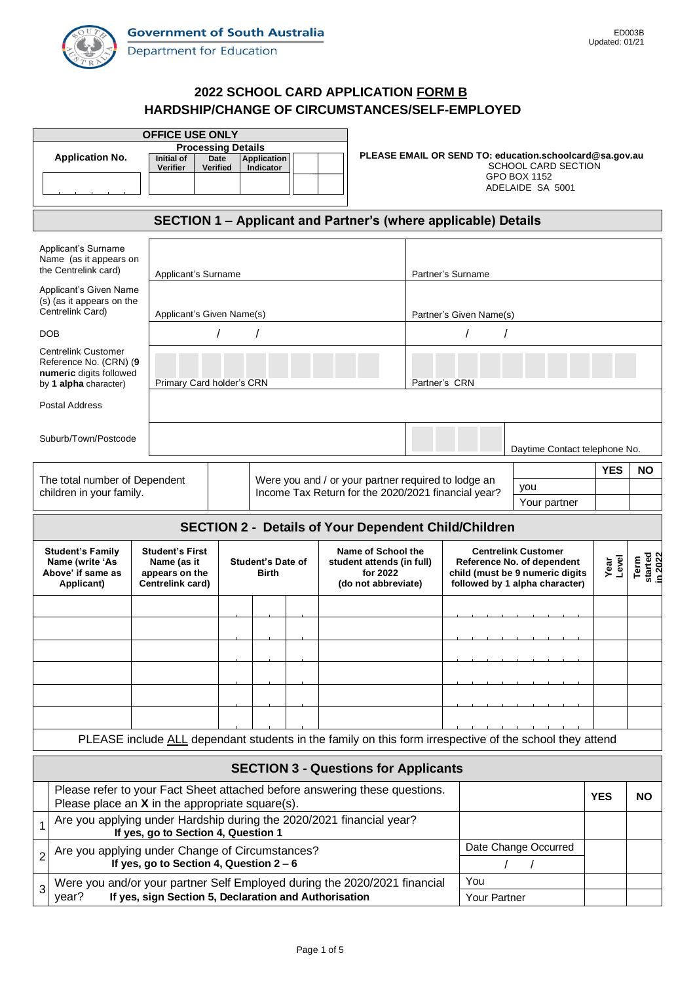

# **2022 SCHOOL CARD APPLICATION FORM B HARDSHIP/CHANGE OF CIRCUMSTANCES/SELF-EMPLOYED**

| <b>OFFICE USE ONLY</b>                                                                                                          |                                           |                                                                   |                    |  |                                                                                                         |                                                         |                                                                   |                                                          |               |                            |  |  |  |
|---------------------------------------------------------------------------------------------------------------------------------|-------------------------------------------|-------------------------------------------------------------------|--------------------|--|---------------------------------------------------------------------------------------------------------|---------------------------------------------------------|-------------------------------------------------------------------|----------------------------------------------------------|---------------|----------------------------|--|--|--|
| <b>Application No.</b>                                                                                                          | <b>Initial of</b>                         | <b>Processing Details</b><br>Date                                 | <b>Application</b> |  |                                                                                                         | PLEASE EMAIL OR SEND TO: education.schoolcard@sa.gov.au |                                                                   |                                                          |               |                            |  |  |  |
|                                                                                                                                 | <b>Verifier</b>                           | Verified                                                          | Indicator          |  |                                                                                                         | <b>SCHOOL CARD SECTION</b><br>GPO BOX 1152              |                                                                   |                                                          |               |                            |  |  |  |
|                                                                                                                                 |                                           |                                                                   |                    |  |                                                                                                         |                                                         |                                                                   | ADELAIDE SA 5001                                         |               |                            |  |  |  |
|                                                                                                                                 |                                           |                                                                   |                    |  |                                                                                                         |                                                         |                                                                   |                                                          |               |                            |  |  |  |
| SECTION 1 – Applicant and Partner's (where applicable) Details                                                                  |                                           |                                                                   |                    |  |                                                                                                         |                                                         |                                                                   |                                                          |               |                            |  |  |  |
| Applicant's Surname                                                                                                             |                                           |                                                                   |                    |  |                                                                                                         |                                                         |                                                                   |                                                          |               |                            |  |  |  |
| Name (as it appears on<br>the Centrelink card)                                                                                  |                                           |                                                                   |                    |  |                                                                                                         |                                                         |                                                                   |                                                          |               |                            |  |  |  |
| Applicant's Given Name                                                                                                          |                                           | Applicant's Surname                                               |                    |  |                                                                                                         |                                                         | Partner's Surname                                                 |                                                          |               |                            |  |  |  |
| (s) (as it appears on the                                                                                                       |                                           |                                                                   |                    |  |                                                                                                         |                                                         |                                                                   |                                                          |               |                            |  |  |  |
| Centrelink Card)                                                                                                                |                                           | Applicant's Given Name(s)                                         |                    |  |                                                                                                         |                                                         | Partner's Given Name(s)                                           |                                                          |               |                            |  |  |  |
| <b>DOB</b>                                                                                                                      |                                           |                                                                   |                    |  |                                                                                                         |                                                         |                                                                   |                                                          |               |                            |  |  |  |
| <b>Centrelink Customer</b><br>Reference No. (CRN) (9                                                                            |                                           |                                                                   |                    |  |                                                                                                         |                                                         |                                                                   |                                                          |               |                            |  |  |  |
| numeric digits followed                                                                                                         |                                           |                                                                   |                    |  |                                                                                                         | Partner's CRN                                           |                                                                   |                                                          |               |                            |  |  |  |
| by 1 alpha character)                                                                                                           |                                           | Primary Card holder's CRN                                         |                    |  |                                                                                                         |                                                         |                                                                   |                                                          |               |                            |  |  |  |
| Postal Address                                                                                                                  |                                           |                                                                   |                    |  |                                                                                                         |                                                         |                                                                   |                                                          |               |                            |  |  |  |
|                                                                                                                                 |                                           |                                                                   |                    |  |                                                                                                         |                                                         |                                                                   |                                                          |               |                            |  |  |  |
| Suburb/Town/Postcode                                                                                                            |                                           |                                                                   |                    |  |                                                                                                         |                                                         |                                                                   | Daytime Contact telephone No.                            |               |                            |  |  |  |
|                                                                                                                                 |                                           |                                                                   |                    |  |                                                                                                         |                                                         |                                                                   | <b>YES</b>                                               | ΝO            |                            |  |  |  |
| The total number of Dependent<br>children in your family.                                                                       |                                           |                                                                   |                    |  | Were you and / or your partner required to lodge an                                                     |                                                         | you<br>Income Tax Return for the 2020/2021 financial year?        |                                                          |               |                            |  |  |  |
|                                                                                                                                 |                                           |                                                                   |                    |  |                                                                                                         |                                                         | Your partner                                                      |                                                          |               |                            |  |  |  |
|                                                                                                                                 |                                           |                                                                   |                    |  | <b>SECTION 2 - Details of Your Dependent Child/Children</b>                                             |                                                         |                                                                   |                                                          |               |                            |  |  |  |
|                                                                                                                                 |                                           |                                                                   |                    |  |                                                                                                         |                                                         |                                                                   |                                                          |               |                            |  |  |  |
| <b>Student's Family</b><br>Name (write 'As                                                                                      |                                           | <b>Student's First</b><br><b>Student's Date of</b><br>Name (as it |                    |  |                                                                                                         | Name of School the<br>student attends (in full)         |                                                                   | <b>Centrelink Customer</b><br>Reference No. of dependent | Year<br>Level | Term<br>started<br>in 2022 |  |  |  |
| Above' if same as<br>Applicant)                                                                                                 | appears on the<br>Centrelink card)        |                                                                   | Birth              |  | for 2022<br>(do not abbreviate)                                                                         |                                                         | child (must be 9 numeric digits<br>followed by 1 alpha character) |                                                          |               |                            |  |  |  |
|                                                                                                                                 |                                           |                                                                   |                    |  |                                                                                                         |                                                         |                                                                   |                                                          |               |                            |  |  |  |
|                                                                                                                                 |                                           |                                                                   |                    |  |                                                                                                         |                                                         |                                                                   |                                                          |               |                            |  |  |  |
|                                                                                                                                 |                                           |                                                                   |                    |  |                                                                                                         |                                                         |                                                                   |                                                          |               |                            |  |  |  |
|                                                                                                                                 |                                           |                                                                   |                    |  |                                                                                                         |                                                         |                                                                   |                                                          |               |                            |  |  |  |
|                                                                                                                                 |                                           |                                                                   |                    |  |                                                                                                         |                                                         |                                                                   |                                                          |               |                            |  |  |  |
|                                                                                                                                 |                                           |                                                                   |                    |  |                                                                                                         |                                                         |                                                                   |                                                          |               |                            |  |  |  |
|                                                                                                                                 |                                           |                                                                   |                    |  |                                                                                                         |                                                         |                                                                   |                                                          |               |                            |  |  |  |
|                                                                                                                                 |                                           |                                                                   |                    |  |                                                                                                         |                                                         |                                                                   |                                                          |               |                            |  |  |  |
|                                                                                                                                 |                                           |                                                                   |                    |  |                                                                                                         |                                                         |                                                                   |                                                          |               |                            |  |  |  |
|                                                                                                                                 |                                           |                                                                   |                    |  | PLEASE include ALL dependant students in the family on this form irrespective of the school they attend |                                                         |                                                                   |                                                          |               |                            |  |  |  |
|                                                                                                                                 |                                           |                                                                   |                    |  | <b>SECTION 3 - Questions for Applicants</b>                                                             |                                                         |                                                                   |                                                          |               |                            |  |  |  |
| Please refer to your Fact Sheet attached before answering these questions.<br>Please place an $X$ in the appropriate square(s). |                                           |                                                                   |                    |  |                                                                                                         |                                                         |                                                                   |                                                          | <b>YES</b>    | <b>NO</b>                  |  |  |  |
| Are you applying under Hardship during the 2020/2021 financial year?<br>1                                                       | If yes, go to Section 4, Question 1       |                                                                   |                    |  |                                                                                                         |                                                         |                                                                   |                                                          |               |                            |  |  |  |
| Are you applying under Change of Circumstances?<br>$\overline{2}$                                                               |                                           |                                                                   |                    |  |                                                                                                         |                                                         |                                                                   | Date Change Occurred                                     |               |                            |  |  |  |
| Were you and/or your partner Self Employed during the 2020/2021 financial<br>3                                                  | If yes, go to Section 4, Question $2 - 6$ |                                                                   |                    |  |                                                                                                         |                                                         | You                                                               |                                                          |               |                            |  |  |  |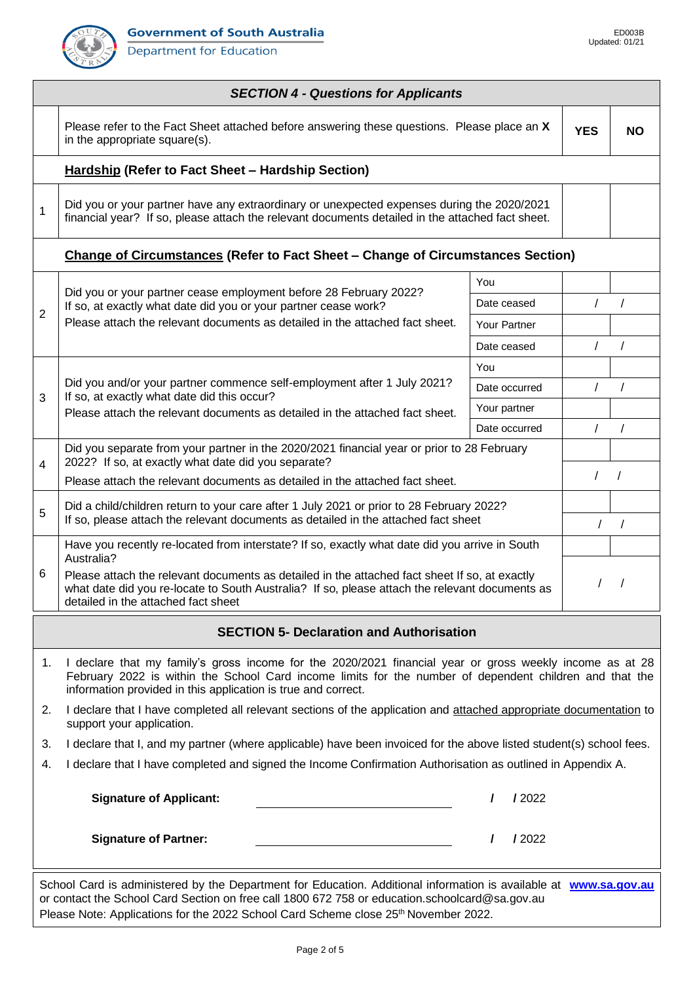Department for Education



| <b>SECTION 4 - Questions for Applicants</b>                                                                                                                                                                                                                                                                |                                                                                                                                                                                                                                                                                      |               |            |            |  |  |  |  |  |  |  |
|------------------------------------------------------------------------------------------------------------------------------------------------------------------------------------------------------------------------------------------------------------------------------------------------------------|--------------------------------------------------------------------------------------------------------------------------------------------------------------------------------------------------------------------------------------------------------------------------------------|---------------|------------|------------|--|--|--|--|--|--|--|
|                                                                                                                                                                                                                                                                                                            | Please refer to the Fact Sheet attached before answering these questions. Please place an X<br>in the appropriate square(s).                                                                                                                                                         | <b>YES</b>    | <b>NO</b>  |            |  |  |  |  |  |  |  |
| <b>Hardship (Refer to Fact Sheet - Hardship Section)</b>                                                                                                                                                                                                                                                   |                                                                                                                                                                                                                                                                                      |               |            |            |  |  |  |  |  |  |  |
| 1                                                                                                                                                                                                                                                                                                          | Did you or your partner have any extraordinary or unexpected expenses during the 2020/2021<br>financial year? If so, please attach the relevant documents detailed in the attached fact sheet.                                                                                       |               |            |            |  |  |  |  |  |  |  |
| Change of Circumstances (Refer to Fact Sheet - Change of Circumstances Section)                                                                                                                                                                                                                            |                                                                                                                                                                                                                                                                                      |               |            |            |  |  |  |  |  |  |  |
|                                                                                                                                                                                                                                                                                                            |                                                                                                                                                                                                                                                                                      | You           |            |            |  |  |  |  |  |  |  |
|                                                                                                                                                                                                                                                                                                            | Did you or your partner cease employment before 28 February 2022?<br>If so, at exactly what date did you or your partner cease work?                                                                                                                                                 | Date ceased   | $\prime$   | $\prime$   |  |  |  |  |  |  |  |
| 2                                                                                                                                                                                                                                                                                                          | Please attach the relevant documents as detailed in the attached fact sheet.                                                                                                                                                                                                         | Your Partner  |            |            |  |  |  |  |  |  |  |
|                                                                                                                                                                                                                                                                                                            |                                                                                                                                                                                                                                                                                      | Date ceased   | $\sqrt{2}$ | $\sqrt{ }$ |  |  |  |  |  |  |  |
|                                                                                                                                                                                                                                                                                                            |                                                                                                                                                                                                                                                                                      | You           |            |            |  |  |  |  |  |  |  |
| 3                                                                                                                                                                                                                                                                                                          | Did you and/or your partner commence self-employment after 1 July 2021?<br>If so, at exactly what date did this occur?                                                                                                                                                               | Date occurred | $\prime$   | $\sqrt{ }$ |  |  |  |  |  |  |  |
|                                                                                                                                                                                                                                                                                                            | Please attach the relevant documents as detailed in the attached fact sheet.                                                                                                                                                                                                         | Your partner  |            |            |  |  |  |  |  |  |  |
|                                                                                                                                                                                                                                                                                                            |                                                                                                                                                                                                                                                                                      | Date occurred | $\prime$   | $\prime$   |  |  |  |  |  |  |  |
| 4                                                                                                                                                                                                                                                                                                          | Did you separate from your partner in the 2020/2021 financial year or prior to 28 February<br>2022? If so, at exactly what date did you separate?                                                                                                                                    |               |            |            |  |  |  |  |  |  |  |
|                                                                                                                                                                                                                                                                                                            | Please attach the relevant documents as detailed in the attached fact sheet.                                                                                                                                                                                                         |               | $\prime$   | $\prime$   |  |  |  |  |  |  |  |
| 5                                                                                                                                                                                                                                                                                                          | Did a child/children return to your care after 1 July 2021 or prior to 28 February 2022?<br>If so, please attach the relevant documents as detailed in the attached fact sheet                                                                                                       |               |            |            |  |  |  |  |  |  |  |
|                                                                                                                                                                                                                                                                                                            | Have you recently re-located from interstate? If so, exactly what date did you arrive in South<br>Australia?                                                                                                                                                                         |               |            |            |  |  |  |  |  |  |  |
| 6                                                                                                                                                                                                                                                                                                          | Please attach the relevant documents as detailed in the attached fact sheet If so, at exactly<br>what date did you re-locate to South Australia? If so, please attach the relevant documents as<br>detailed in the attached fact sheet                                               |               |            |            |  |  |  |  |  |  |  |
| <b>SECTION 5- Declaration and Authorisation</b>                                                                                                                                                                                                                                                            |                                                                                                                                                                                                                                                                                      |               |            |            |  |  |  |  |  |  |  |
| 1.                                                                                                                                                                                                                                                                                                         | I declare that my family's gross income for the 2020/2021 financial year or gross weekly income as at 28<br>February 2022 is within the School Card income limits for the number of dependent children and that the<br>information provided in this application is true and correct. |               |            |            |  |  |  |  |  |  |  |
| 2.                                                                                                                                                                                                                                                                                                         | I declare that I have completed all relevant sections of the application and attached appropriate documentation to<br>support your application.                                                                                                                                      |               |            |            |  |  |  |  |  |  |  |
| 3.                                                                                                                                                                                                                                                                                                         | I declare that I, and my partner (where applicable) have been invoiced for the above listed student(s) school fees.                                                                                                                                                                  |               |            |            |  |  |  |  |  |  |  |
| 4.                                                                                                                                                                                                                                                                                                         | I declare that I have completed and signed the Income Confirmation Authorisation as outlined in Appendix A.                                                                                                                                                                          |               |            |            |  |  |  |  |  |  |  |
|                                                                                                                                                                                                                                                                                                            | <b>Signature of Applicant:</b>                                                                                                                                                                                                                                                       | / 2022        |            |            |  |  |  |  |  |  |  |
|                                                                                                                                                                                                                                                                                                            | <b>Signature of Partner:</b>                                                                                                                                                                                                                                                         | / 2022        |            |            |  |  |  |  |  |  |  |
| School Card is administered by the Department for Education. Additional information is available at www.sa.gov.au<br>or contact the School Card Section on free call 1800 672 758 or education.schoolcard@sa.gov.au<br>Please Note: Applications for the 2022 School Card Scheme close 25th November 2022. |                                                                                                                                                                                                                                                                                      |               |            |            |  |  |  |  |  |  |  |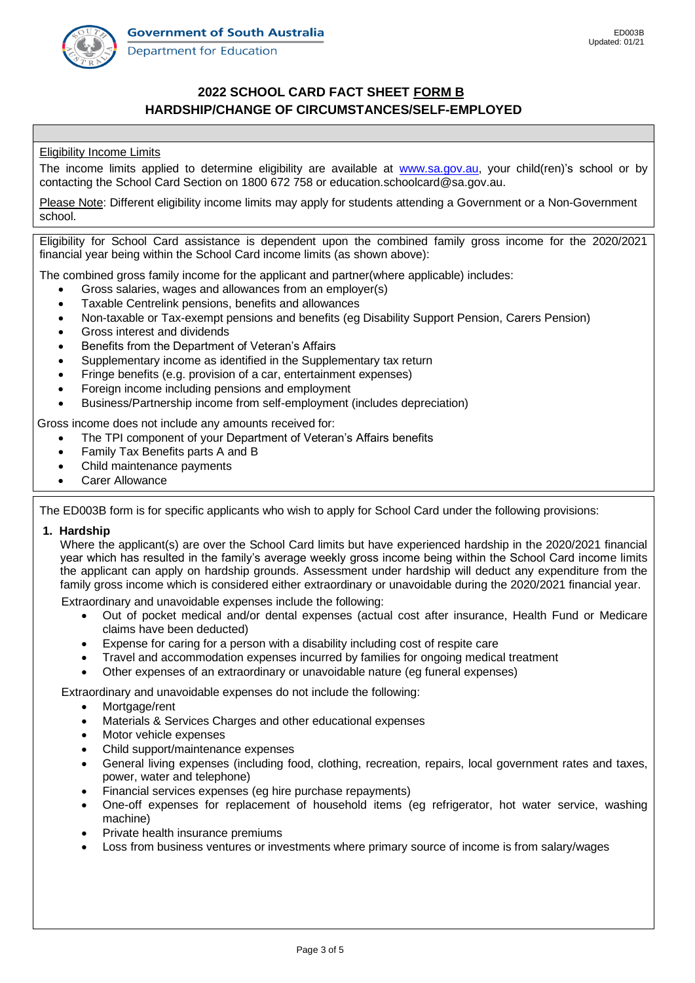

# **2022 SCHOOL CARD FACT SHEET FORM B HARDSHIP/CHANGE OF CIRCUMSTANCES/SELF-EMPLOYED**

### Eligibility Income Limits

The income limits applied to determine eligibility are available at [www.sa.gov.au,](http://www.sa.gov.au/) your child(ren)'s school or by contacting the School Card Section on 1800 672 758 or education.schoolcard@sa.gov.au.

Please Note: Different eligibility income limits may apply for students attending a Government or a Non-Government school.

Eligibility for School Card assistance is dependent upon the combined family gross income for the 2020/2021 financial year being within the School Card income limits (as shown above):

The combined gross family income for the applicant and partner(where applicable) includes:

- Gross salaries, wages and allowances from an employer(s)
- Taxable Centrelink pensions, benefits and allowances
- Non-taxable or Tax-exempt pensions and benefits (eg Disability Support Pension, Carers Pension)
- Gross interest and dividends
- Benefits from the Department of Veteran's Affairs
- Supplementary income as identified in the Supplementary tax return
- Fringe benefits (e.g. provision of a car, entertainment expenses)
- Foreign income including pensions and employment
- Business/Partnership income from self-employment (includes depreciation)

Gross income does not include any amounts received for:

- The TPI component of your Department of Veteran's Affairs benefits
- Family Tax Benefits parts A and B
- Child maintenance payments
- Carer Allowance

The ED003B form is for specific applicants who wish to apply for School Card under the following provisions:

#### **1. Hardship**

Where the applicant(s) are over the School Card limits but have experienced hardship in the 2020/2021 financial year which has resulted in the family's average weekly gross income being within the School Card income limits the applicant can apply on hardship grounds. Assessment under hardship will deduct any expenditure from the family gross income which is considered either extraordinary or unavoidable during the 2020/2021 financial year.

Extraordinary and unavoidable expenses include the following:

- Out of pocket medical and/or dental expenses (actual cost after insurance, Health Fund or Medicare claims have been deducted)
- Expense for caring for a person with a disability including cost of respite care
- Travel and accommodation expenses incurred by families for ongoing medical treatment
- Other expenses of an extraordinary or unavoidable nature (eg funeral expenses)

Extraordinary and unavoidable expenses do not include the following:

- Mortgage/rent
- Materials & Services Charges and other educational expenses
- Motor vehicle expenses
- Child support/maintenance expenses
- General living expenses (including food, clothing, recreation, repairs, local government rates and taxes, power, water and telephone)
- Financial services expenses (eg hire purchase repayments)
- One-off expenses for replacement of household items (eg refrigerator, hot water service, washing machine)
- Private health insurance premiums
- Loss from business ventures or investments where primary source of income is from salary/wages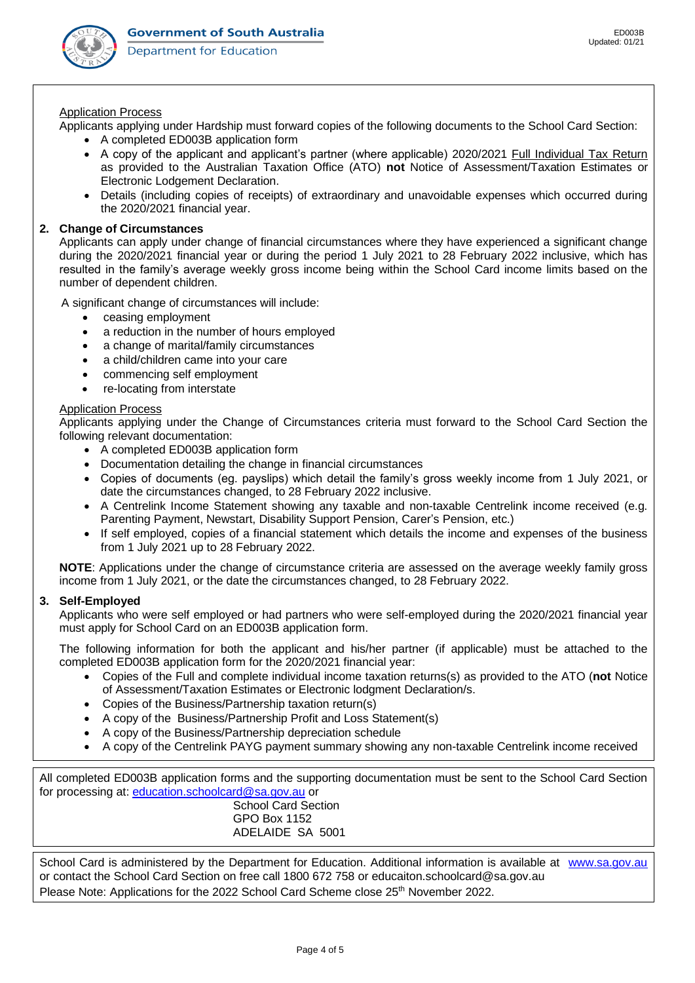

#### Application Process

Applicants applying under Hardship must forward copies of the following documents to the School Card Section:

- A completed ED003B application form
- A copy of the applicant and applicant's partner (where applicable) 2020/2021 Full Individual Tax Return as provided to the Australian Taxation Office (ATO) **not** Notice of Assessment/Taxation Estimates or Electronic Lodgement Declaration.
- Details (including copies of receipts) of extraordinary and unavoidable expenses which occurred during the 2020/2021 financial year.

### **2. Change of Circumstances**

Applicants can apply under change of financial circumstances where they have experienced a significant change during the 2020/2021 financial year or during the period 1 July 2021 to 28 February 2022 inclusive, which has resulted in the family's average weekly gross income being within the School Card income limits based on the number of dependent children.

A significant change of circumstances will include:

- ceasing employment
- a reduction in the number of hours employed
- a change of marital/family circumstances
- a child/children came into your care
- commencing self employment
- re-locating from interstate

#### Application Process

Applicants applying under the Change of Circumstances criteria must forward to the School Card Section the following relevant documentation:

- A completed ED003B application form
- Documentation detailing the change in financial circumstances
- Copies of documents (eg. payslips) which detail the family's gross weekly income from 1 July 2021, or date the circumstances changed, to 28 February 2022 inclusive.
- A Centrelink Income Statement showing any taxable and non-taxable Centrelink income received (e.g. Parenting Payment, Newstart, Disability Support Pension, Carer's Pension, etc.)
- If self employed, copies of a financial statement which details the income and expenses of the business from 1 July 2021 up to 28 February 2022.

**NOTE**: Applications under the change of circumstance criteria are assessed on the average weekly family gross income from 1 July 2021, or the date the circumstances changed, to 28 February 2022.

## **3. Self-Employed**

Applicants who were self employed or had partners who were self-employed during the 2020/2021 financial year must apply for School Card on an ED003B application form.

The following information for both the applicant and his/her partner (if applicable) must be attached to the completed ED003B application form for the 2020/2021 financial year:

- Copies of the Full and complete individual income taxation returns(s) as provided to the ATO (**not** Notice of Assessment/Taxation Estimates or Electronic lodgment Declaration/s.
- Copies of the Business/Partnership taxation return(s)
- A copy of the Business/Partnership Profit and Loss Statement(s)
- A copy of the Business/Partnership depreciation schedule
- A copy of the Centrelink PAYG payment summary showing any non-taxable Centrelink income received

All completed ED003B application forms and the supporting documentation must be sent to the School Card Section for processing at: [education.schoolcard@sa.gov.au](mailto:education.schoolcard@sa.gov.au) or School Card Section

GPO Box 1152 ADELAIDE SA 5001

School Card is administered by the Department for Education. Additional information is available at www.sa.gov.au or contact the School Card Section on free call 1800 672 758 or educaiton.schoolcard@sa.gov.au Please Note: Applications for the 2022 School Card Scheme close 25<sup>th</sup> November 2022.